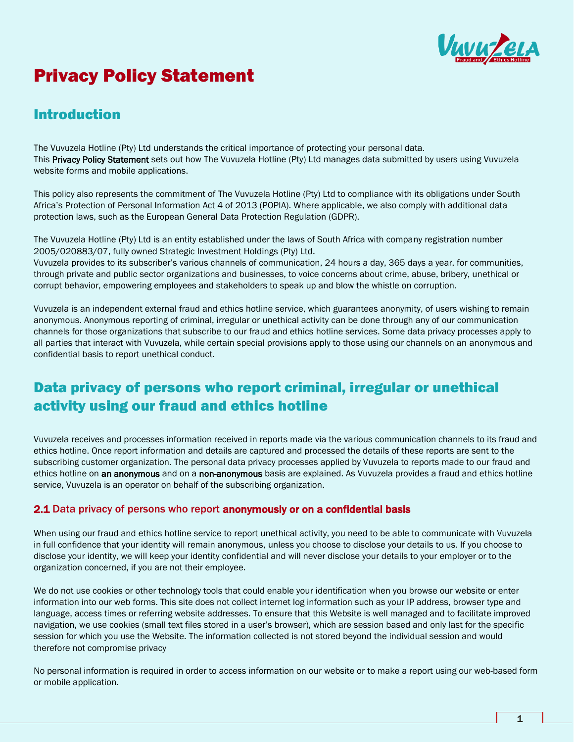

# Privacy Policy Statement

# Introduction

The Vuvuzela Hotline (Pty) Ltd understands the critical importance of protecting your personal data. This Privacy Policy Statement sets out how The Vuvuzela Hotline (Pty) Ltd manages data submitted by users using Vuvuzela website forms and mobile applications.

This policy also represents the commitment of The Vuvuzela Hotline (Pty) Ltd to compliance with its obligations under South Africa's Protection of Personal Information Act 4 of 2013 (POPIA). Where applicable, we also comply with additional data protection laws, such as the European General Data Protection Regulation (GDPR).

The Vuvuzela Hotline (Pty) Ltd is an entity established under the laws of South Africa with company registration number 2005/020883/07, fully owned Strategic Investment Holdings (Pty) Ltd.

Vuvuzela provides to its subscriber's various channels of communication, 24 hours a day, 365 days a year, for communities, through private and public sector organizations and businesses, to voice concerns about crime, abuse, bribery, unethical or corrupt behavior, empowering employees and stakeholders to speak up and blow the whistle on corruption.

Vuvuzela is an independent external fraud and ethics hotline service, which guarantees anonymity, of users wishing to remain anonymous. Anonymous reporting of criminal, irregular or unethical activity can be done through any of our communication channels for those organizations that subscribe to our fraud and ethics hotline services. Some data privacy processes apply to all parties that interact with Vuvuzela, while certain special provisions apply to those using our channels on an anonymous and confidential basis to report unethical conduct.

# Data privacy of persons who report criminal, irregular or unethical activity using our fraud and ethics hotline

Vuvuzela receives and processes information received in reports made via the various communication channels to its fraud and ethics hotline. Once report information and details are captured and processed the details of these reports are sent to the subscribing customer organization. The personal data privacy processes applied by Vuvuzela to reports made to our fraud and ethics hotline on an anonymous and on a non-anonymous basis are explained. As Vuvuzela provides a fraud and ethics hotline service, Vuvuzela is an operator on behalf of the subscribing organization.

#### 2.1 Data privacy of persons who report anonymously or on a confidential basis

When using our fraud and ethics hotline service to report unethical activity, you need to be able to communicate with Vuvuzela in full confidence that your identity will remain anonymous, unless you choose to disclose your details to us. If you choose to disclose your identity, we will keep your identity confidential and will never disclose your details to your employer or to the organization concerned, if you are not their employee.

We do not use cookies or other technology tools that could enable your identification when you browse our website or enter information into our web forms. This site does not collect internet log information such as your IP address, browser type and language, access times or referring website addresses. To ensure that this Website is well managed and to facilitate improved navigation, we use cookies (small text files stored in a user's browser), which are session based and only last for the specific session for which you use the Website. The information collected is not stored beyond the individual session and would therefore not compromise privacy

No personal information is required in order to access information on our website or to make a report using our web-based form or mobile application.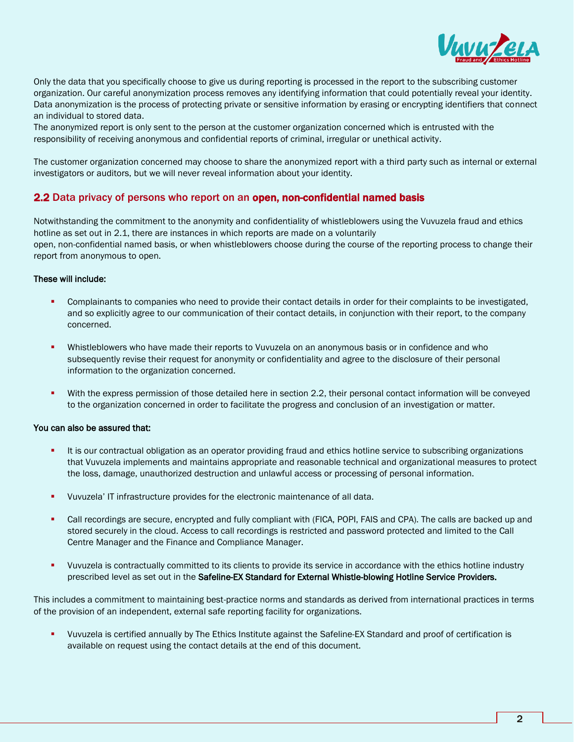

Only the data that you specifically choose to give us during reporting is processed in the report to the subscribing customer organization. Our careful anonymization process removes any identifying information that could potentially reveal your identity. Data anonymization is the process of protecting private or sensitive information by erasing or encrypting identifiers that connect an individual to stored data.

The anonymized report is only sent to the person at the customer organization concerned which is entrusted with the responsibility of receiving anonymous and confidential reports of criminal, irregular or unethical activity.

The customer organization concerned may choose to share the anonymized report with a third party such as internal or external investigators or auditors, but we will never reveal information about your identity.

#### 2.2 Data privacy of persons who report on an open, non-confidential named basis

Notwithstanding the commitment to the anonymity and confidentiality of whistleblowers using the Vuvuzela fraud and ethics hotline as set out in 2.1, there are instances in which reports are made on a voluntarily open, non-confidential named basis, or when whistleblowers choose during the course of the reporting process to change their report from anonymous to open.

#### These will include:

- Complainants to companies who need to provide their contact details in order for their complaints to be investigated, and so explicitly agree to our communication of their contact details, in conjunction with their report, to the company concerned.
- Whistleblowers who have made their reports to Vuvuzela on an anonymous basis or in confidence and who subsequently revise their request for anonymity or confidentiality and agree to the disclosure of their personal information to the organization concerned.
- With the express permission of those detailed here in section 2.2, their personal contact information will be conveyed to the organization concerned in order to facilitate the progress and conclusion of an investigation or matter.

#### You can also be assured that:

- It is our contractual obligation as an operator providing fraud and ethics hotline service to subscribing organizations that Vuvuzela implements and maintains appropriate and reasonable technical and organizational measures to protect the loss, damage, unauthorized destruction and unlawful access or processing of personal information.
- Vuvuzela' IT infrastructure provides for the electronic maintenance of all data.
- Call recordings are secure, encrypted and fully compliant with (FICA, POPI, FAIS and CPA). The calls are backed up and stored securely in the cloud. Access to call recordings is restricted and password protected and limited to the Call Centre Manager and the Finance and Compliance Manager.
- Vuvuzela is contractually committed to its clients to provide its service in accordance with the ethics hotline industry prescribed level as set out in the Safeline-EX Standard for External Whistle-blowing Hotline Service Providers.

This includes a commitment to maintaining best-practice norms and standards as derived from international practices in terms of the provision of an independent, external safe reporting facility for organizations.

Vuvuzela is certified annually by The Ethics Institute against the Safeline-EX Standard and proof of certification is available on request using the contact details at the end of this document.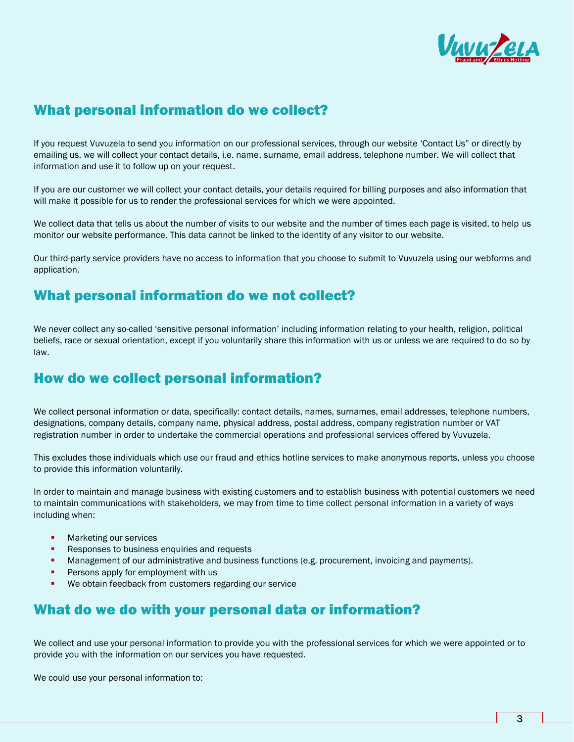

#### What personal information do we collect?

If you request Vuvuzela to send you information on our professional services, through our website 'Contact Us" or directly by emailing us, we will collect your contact details, i.e. name, surname, email address, telephone number. We will collect that information and use it to follow up on your request.

If you are our customer we will collect your contact details, your details required for billing purposes and also information that will make it possible for us to render the professional services for which we were appointed.

We collect data that tells us about the number of visits to our website and the number of times each page is visited, to help us monitor our website performance. This data cannot be linked to the identity of any visitor to our website.

Our third-party service providers have no access to information that you choose to submit to Vuvuzela using our webforms and application.

#### What personal information do we not collect?

We never collect any so-called 'sensitive personal information' including information relating to your health, religion, political beliefs, race or sexual orientation, except if you voluntarily share this information with us or unless we are required to do so by law.

#### How do we collect personal information?

We collect personal information or data, specifically: contact details, names, surnames, email addresses, telephone numbers, designations, company details, company name, physical address, postal address, company registration number or VAT registration number in order to undertake the commercial operations and professional services offered by Vuvuzela.

This excludes those individuals which use our fraud and ethics hotline services to make anonymous reports, unless you choose to provide this information voluntarily.

In order to maintain and manage business with existing customers and to establish business with potential customers we need to maintain communications with stakeholders, we may from time to time collect personal information in a variety of ways including when:

- **Marketing our services**
- Responses to business enquiries and requests
- Management of our administrative and business functions (e.g. procurement, invoicing and payments).
- Persons apply for employment with us
- We obtain feedback from customers regarding our service

#### What do we do with your personal data or information?

We collect and use your personal information to provide you with the professional services for which we were appointed or to provide you with the information on our services you have requested.

We could use your personal information to: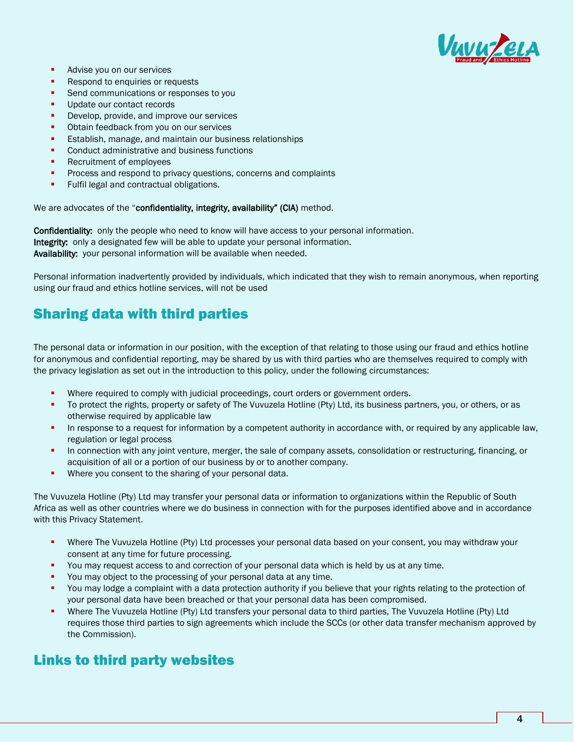

- Advise you on our services
- Respond to enquiries or requests
- Send communications or responses to you
- Update our contact records
- Develop, provide, and improve our services
- Obtain feedback from you on our services
- Establish, manage, and maintain our business relationships
- Conduct administrative and business functions
- Recruitment of employees
- Process and respond to privacy questions, concerns and complaints
- **•** Fulfil legal and contractual obligations.

We are advocates of the "confidentiality, integrity, availability" (CIA) method.

Confidentiality: only the people who need to know will have access to your personal information. Integrity: only a designated few will be able to update your personal information. Availability: your personal information will be available when needed.

Personal information inadvertently provided by individuals, which indicated that they wish to remain anonymous, when reporting using our fraud and ethics hotline services, will not be used

## Sharing data with third parties

The personal data or information in our position, with the exception of that relating to those using our fraud and ethics hotline for anonymous and confidential reporting, may be shared by us with third parties who are themselves required to comply with the privacy legislation as set out in the introduction to this policy, under the following circumstances:

- Where required to comply with judicial proceedings, court orders or government orders.
- To protect the rights, property or safety of The Vuvuzela Hotline (Pty) Ltd, its business partners, you, or others, or as otherwise required by applicable law
- **•** In response to a request for information by a competent authority in accordance with, or required by any applicable law, regulation or legal process
- In connection with any joint venture, merger, the sale of company assets, consolidation or restructuring, financing, or acquisition of all or a portion of our business by or to another company.
- **■** Where you consent to the sharing of your personal data.

The Vuvuzela Hotline (Pty) Ltd may transfer your personal data or information to organizations within the Republic of South Africa as well as other countries where we do business in connection with for the purposes identified above and in accordance with this Privacy Statement.

- Where The Vuvuzela Hotline (Pty) Ltd processes your personal data based on your consent, you may withdraw your consent at any time for future processing.
- You may request access to and correction of your personal data which is held by us at any time.
- You may object to the processing of your personal data at any time.
- You may lodge a complaint with a data protection authority if you believe that your rights relating to the protection of your personal data have been breached or that your personal data has been compromised.
- Where The Vuvuzela Hotline (Pty) Ltd transfers your personal data to third parties, The Vuvuzela Hotline (Pty) Ltd requires those third parties to sign agreements which include the SCCs (or other data transfer mechanism approved by the Commission).

#### Links to third party websites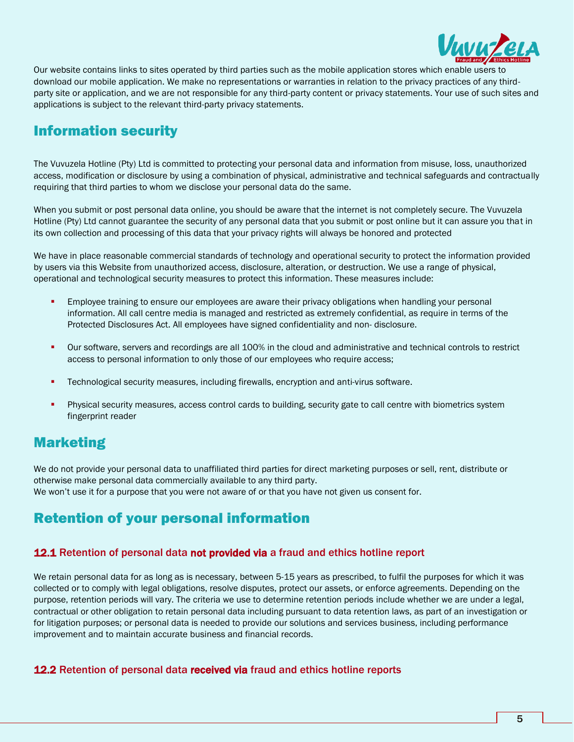

Our website contains links to sites operated by third parties such as the mobile application stores which enable users to download our mobile application. We make no representations or warranties in relation to the privacy practices of any thirdparty site or application, and we are not responsible for any third-party content or privacy statements. Your use of such sites and applications is subject to the relevant third-party privacy statements.

### Information security

The Vuvuzela Hotline (Pty) Ltd is committed to protecting your personal data and information from misuse, loss, unauthorized access, modification or disclosure by using a combination of physical, administrative and technical safeguards and contractually requiring that third parties to whom we disclose your personal data do the same.

When you submit or post personal data online, you should be aware that the internet is not completely secure. The Vuvuzela Hotline (Pty) Ltd cannot guarantee the security of any personal data that you submit or post online but it can assure you that in its own collection and processing of this data that your privacy rights will always be honored and protected

We have in place reasonable commercial standards of technology and operational security to protect the information provided by users via this Website from unauthorized access, disclosure, alteration, or destruction. We use a range of physical, operational and technological security measures to protect this information. These measures include:

- Employee training to ensure our employees are aware their privacy obligations when handling your personal information. All call centre media is managed and restricted as extremely confidential, as require in terms of the Protected Disclosures Act. All employees have signed confidentiality and non- disclosure.
- Our software, servers and recordings are all 100% in the cloud and administrative and technical controls to restrict access to personal information to only those of our employees who require access;
- **•** Technological security measures, including firewalls, encryption and anti-virus software.
- Physical security measures, access control cards to building, security gate to call centre with biometrics system fingerprint reader

## Marketing

We do not provide your personal data to unaffiliated third parties for direct marketing purposes or sell, rent, distribute or otherwise make personal data commercially available to any third party. We won't use it for a purpose that you were not aware of or that you have not given us consent for.

# Retention of your personal information

#### 12.1 Retention of personal data not provided via a fraud and ethics hotline report

We retain personal data for as long as is necessary, between 5-15 years as prescribed, to fulfil the purposes for which it was collected or to comply with legal obligations, resolve disputes, protect our assets, or enforce agreements. Depending on the purpose, retention periods will vary. The criteria we use to determine retention periods include whether we are under a legal, contractual or other obligation to retain personal data including pursuant to data retention laws, as part of an investigation or for litigation purposes; or personal data is needed to provide our solutions and services business, including performance improvement and to maintain accurate business and financial records.

#### **12.2** Retention of personal data received via fraud and ethics hotline reports